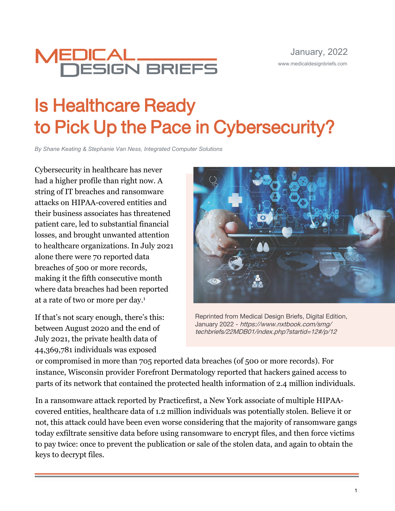

# Is Healthcare Ready to Pick Up the Pace in Cybersecurity?

*By Shane Keating & Stephanie Van Ness, Integrated Computer Solutions* 

Cybersecurity in healthcare has never had a higher profile than right now. A string of IT breaches and ransomware attacks on HIPAA-covered entities and their business associates has threatened patient care, led to substantial financial losses, and brought unwanted attention to healthcare organizations. In July 2021 alone there were 70 reported data breaches of 500 or more records, making it the fifth consecutive month where data breaches had been reported at a rate of two or more per day.<sup>1</sup>

If that's not scary enough, there's this: between August 2020 and the end of July 2021, the private health data of 44,369,781 individuals was exposed



Reprinted from Medical Design Briefs, Digital Edition, January 2022 - https://www.nxtbook.com/smg/ techbriefs/22MDB01/index.php?startid=12#/p/12

or compromised in more than 705 reported data breaches (of 500 or more records). For instance, Wisconsin provider Forefront Dermatology reported that hackers gained access to parts of its network that contained the protected health information of 2.4 million individuals.

In a ransomware attack reported by Practicefirst, a New York associate of multiple HIPAAcovered entities, healthcare data of 1.2 million individuals was potentially stolen. Believe it or not, this attack could have been even worse considering that the majority of ransomware gangs today exfiltrate sensitive data before using ransomware to encrypt files, and then force victims to pay twice: once to prevent the publication or sale of the stolen data, and again to obtain the keys to decrypt files.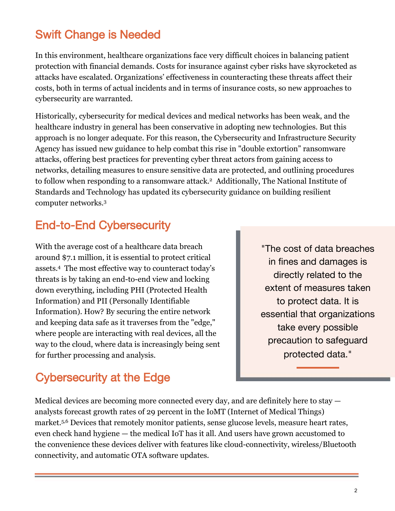# Swift Change is Needed

In this environment, healthcare organizations face very difficult choices in balancing patient protection with financial demands. Costs for insurance against cyber risks have skyrocketed as attacks have escalated. Organizations' effectiveness in counteracting these threats affect their costs, both in terms of actual incidents and in terms of insurance costs, so new approaches to cybersecurity are warranted.

Historically, cybersecurity for medical devices and medical networks has been weak, and the healthcare industry in general has been conservative in adopting new technologies. But this approach is no longer adequate. For this reason, the Cybersecurity and Infrastructure Security Agency has issued new guidance to help combat this rise in "double extortion" ransomware attacks, offering best practices for preventing cyber threat actors from gaining access to networks, detailing measures to ensure sensitive data are protected, and outlining procedures to follow when responding to a ransomware attack.<sup>2</sup> Additionally, The National Institute of Standards and Technology has updated its cybersecurity guidance on building resilient computer networks.<sup>3</sup>

#### End-to-End Cybersecurity

With the average cost of a healthcare data breach around \$7.1 million, it is essential to protect critical assets.<sup>4</sup> The most effective way to counteract today's threats is by taking an end-to-end view and locking down everything, including PHI (Protected Health Information) and PII (Personally Identifiable Information). How? By securing the entire network and keeping data safe as it traverses from the "edge," where people are interacting with real devices, all the way to the cloud, where data is increasingly being sent for further processing and analysis.

"The cost of data breaches in fines and damages is directly related to the extent of measures taken to protect data. It is essential that organizations take every possible precaution to safeguard protected data."

### Cybersecurity at the Edge

Medical devices are becoming more connected every day, and are definitely here to stay analysts forecast growth rates of 29 percent in the IoMT (Internet of Medical Things) market.<sup>5,6</sup> Devices that remotely monitor patients, sense glucose levels, measure heart rates, even check hand hygiene — the medical IoT has it all. And users have grown accustomed to the convenience these devices deliver with features like cloud-connectivity, wireless/Bluetooth connectivity, and automatic OTA software updates.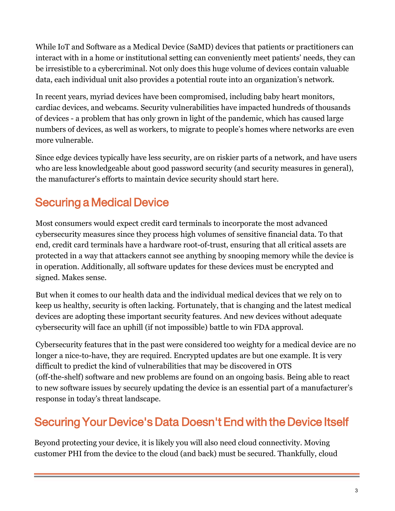While IoT and Software as a Medical Device (SaMD) devices that patients or practitioners can interact with in a home or institutional setting can conveniently meet patients' needs, they can be irresistible to a cybercriminal. Not only does this huge volume of devices contain valuable data, each individual unit also provides a potential route into an organization's network.

In recent years, myriad devices have been compromised, including baby heart monitors, cardiac devices, and webcams. Security vulnerabilities have impacted hundreds of thousands of devices - a problem that has only grown in light of the pandemic, which has caused large numbers of devices, as well as workers, to migrate to people's homes where networks are even more vulnerable.

Since edge devices typically have less security, are on riskier parts of a network, and have users who are less knowledgeable about good password security (and security measures in general), the manufacturer's efforts to maintain device security should start here.

# Securing a Medical Device

Most consumers would expect credit card terminals to incorporate the most advanced cybersecurity measures since they process high volumes of sensitive financial data. To that end, credit card terminals have a hardware root-of-trust, ensuring that all critical assets are protected in a way that attackers cannot see anything by snooping memory while the device is in operation. Additionally, all software updates for these devices must be encrypted and signed. Makes sense.

But when it comes to our health data and the individual medical devices that we rely on to keep us healthy, security is often lacking. Fortunately, that is changing and the latest medical devices are adopting these important security features. And new devices without adequate cybersecurity will face an uphill (if not impossible) battle to win FDA approval.

Cybersecurity features that in the past were considered too weighty for a medical device are no longer a nice-to-have, they are required. Encrypted updates are but one example. It is very difficult to predict the kind of vulnerabilities that may be discovered in OTS (off-the-shelf) software and new problems are found on an ongoing basis. Being able to react to new software issues by securely updating the device is an essential part of a manufacturer's response in today's threat landscape.

# Securing Your Device's Data Doesn't End with the Device Itself

Beyond protecting your device, it is likely you will also need cloud connectivity. Moving customer PHI from the device to the cloud (and back) must be secured. Thankfully, cloud